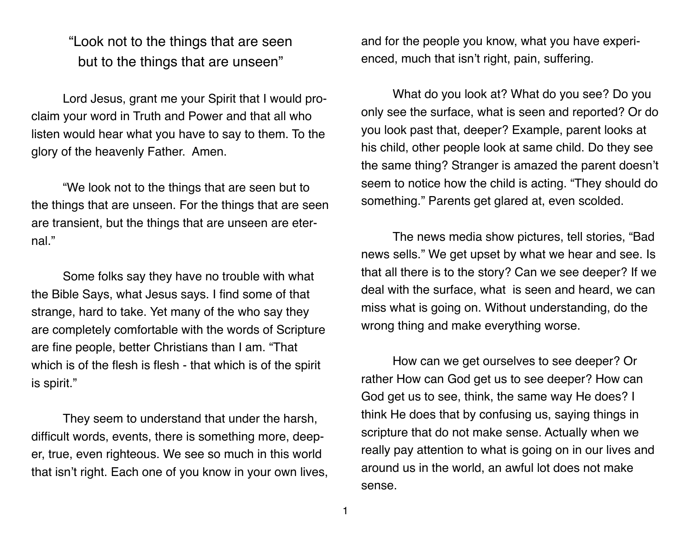"Look not to the things that are seen but to the things that are unseen"

Lord Jesus, grant me your Spirit that I would proclaim your word in Truth and Power and that all who listen would hear what you have to say to them. To the glory of the heavenly Father. Amen.

"We look not to the things that are seen but to the things that are unseen. For the things that are seen are transient, but the things that are unseen are eternal."

Some folks say they have no trouble with what the Bible Says, what Jesus says. I find some of that strange, hard to take. Yet many of the who say they are completely comfortable with the words of Scripture are fine people, better Christians than I am. "That which is of the flesh is flesh - that which is of the spirit is spirit."

They seem to understand that under the harsh, difficult words, events, there is something more, deeper, true, even righteous. We see so much in this world that isn't right. Each one of you know in your own lives, and for the people you know, what you have experienced, much that isn't right, pain, suffering.

What do you look at? What do you see? Do you only see the surface, what is seen and reported? Or do you look past that, deeper? Example, parent looks at his child, other people look at same child. Do they see the same thing? Stranger is amazed the parent doesn't seem to notice how the child is acting. "They should do something." Parents get glared at, even scolded.

The news media show pictures, tell stories, "Bad news sells." We get upset by what we hear and see. Is that all there is to the story? Can we see deeper? If we deal with the surface, what is seen and heard, we can miss what is going on. Without understanding, do the wrong thing and make everything worse.

How can we get ourselves to see deeper? Or rather How can God get us to see deeper? How can God get us to see, think, the same way He does? I think He does that by confusing us, saying things in scripture that do not make sense. Actually when we really pay attention to what is going on in our lives and around us in the world, an awful lot does not make sense.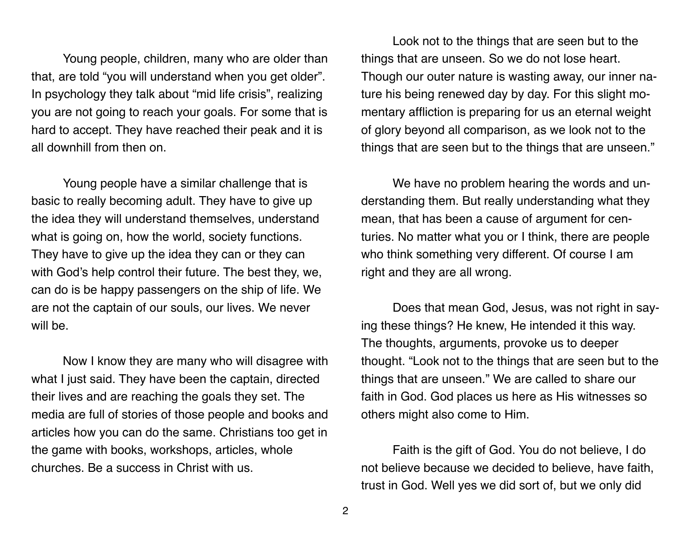Young people, children, many who are older than that, are told "you will understand when you get older". In psychology they talk about "mid life crisis", realizing you are not going to reach your goals. For some that is hard to accept. They have reached their peak and it is all downhill from then on.

Young people have a similar challenge that is basic to really becoming adult. They have to give up the idea they will understand themselves, understand what is going on, how the world, society functions. They have to give up the idea they can or they can with God's help control their future. The best they, we, can do is be happy passengers on the ship of life. We are not the captain of our souls, our lives. We never will be.

Now I know they are many who will disagree with what I just said. They have been the captain, directed their lives and are reaching the goals they set. The media are full of stories of those people and books and articles how you can do the same. Christians too get in the game with books, workshops, articles, whole churches. Be a success in Christ with us.

Look not to the things that are seen but to the things that are unseen. So we do not lose heart. Though our outer nature is wasting away, our inner nature his being renewed day by day. For this slight momentary affliction is preparing for us an eternal weight of glory beyond all comparison, as we look not to the things that are seen but to the things that are unseen."

We have no problem hearing the words and understanding them. But really understanding what they mean, that has been a cause of argument for centuries. No matter what you or I think, there are people who think something very different. Of course I am right and they are all wrong.

Does that mean God, Jesus, was not right in saying these things? He knew, He intended it this way. The thoughts, arguments, provoke us to deeper thought. "Look not to the things that are seen but to the things that are unseen." We are called to share our faith in God. God places us here as His witnesses so others might also come to Him.

Faith is the gift of God. You do not believe, I do not believe because we decided to believe, have faith, trust in God. Well yes we did sort of, but we only did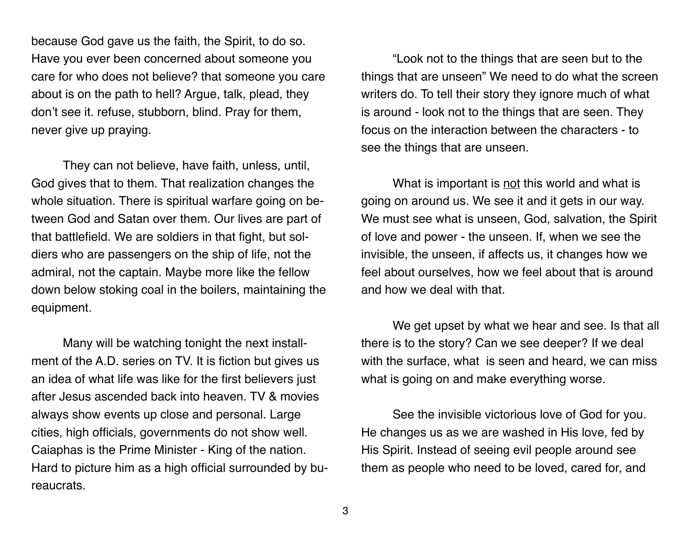because God gave us the faith, the Spirit, to do so. Have you ever been concerned about someone you care for who does not believe? that someone you care about is on the path to hell? Argue, talk, plead, they don't see it. refuse, stubborn, blind. Pray for them, never give up praying.

They can not believe, have faith, unless, until, God gives that to them. That realization changes the whole situation. There is spiritual warfare going on between God and Satan over them. Our lives are part of that battlefield. We are soldiers in that fight, but soldiers who are passengers on the ship of life, not the admiral, not the captain. Maybe more like the fellow down below stoking coal in the boilers, maintaining the equipment.

Many will be watching tonight the next installment of the A.D. series on TV. It is fiction but gives us an idea of what life was like for the first believers just after Jesus ascended back into heaven. TV & movies always show events up close and personal. Large cities, high officials, governments do not show well. Caiaphas is the Prime Minister - King of the nation. Hard to picture him as a high official surrounded by bureaucrats.

"Look not to the things that are seen but to the things that are unseen" We need to do what the screen writers do. To tell their story they ignore much of what is around - look not to the things that are seen. They focus on the interaction between the characters - to see the things that are unseen.

What is important is not this world and what is going on around us. We see it and it gets in our way. We must see what is unseen, God, salvation, the Spirit of love and power - the unseen. If, when we see the invisible, the unseen, if affects us, it changes how we feel about ourselves, how we feel about that is around and how we deal with that.

 We get upset by what we hear and see. Is that all there is to the story? Can we see deeper? If we deal with the surface, what is seen and heard, we can miss what is going on and make everything worse.

See the invisible victorious love of God for you. He changes us as we are washed in His love, fed by His Spirit. Instead of seeing evil people around see them as people who need to be loved, cared for, and